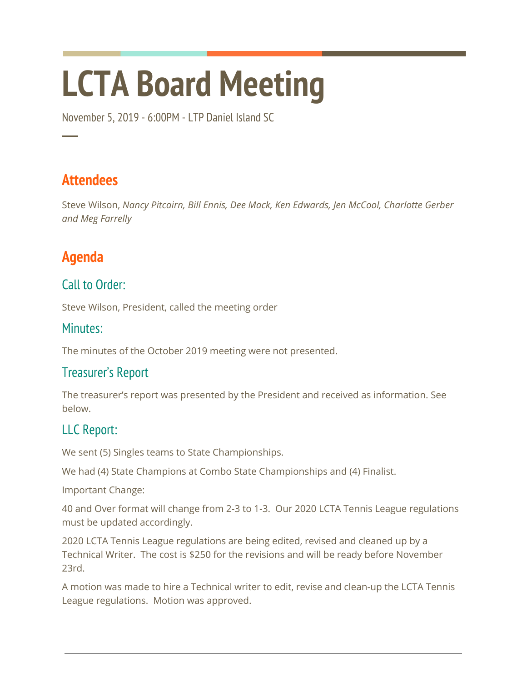# **LCTA Board Meeting**

November 5, 2019 - 6:00PM - LTP Daniel Island SC

## **Attendees**

─

Steve Wilson, *Nancy Pitcairn, Bill Ennis, Dee Mack, Ken Edwards, Jen McCool, Charlotte Gerber and Meg Farrelly*

# **Agenda**

#### Call to Order:

Steve Wilson, President, called the meeting order

#### Minutes:

The minutes of the October 2019 meeting were not presented.

#### Treasurer's Report

The treasurer's report was presented by the President and received as information. See below.

### LLC Report:

We sent (5) Singles teams to State Championships.

We had (4) State Champions at Combo State Championships and (4) Finalist.

Important Change:

40 and Over format will change from 2-3 to 1-3. Our 2020 LCTA Tennis League regulations must be updated accordingly.

2020 LCTA Tennis League regulations are being edited, revised and cleaned up by a Technical Writer. The cost is \$250 for the revisions and will be ready before November 23rd.

A motion was made to hire a Technical writer to edit, revise and clean-up the LCTA Tennis League regulations. Motion was approved.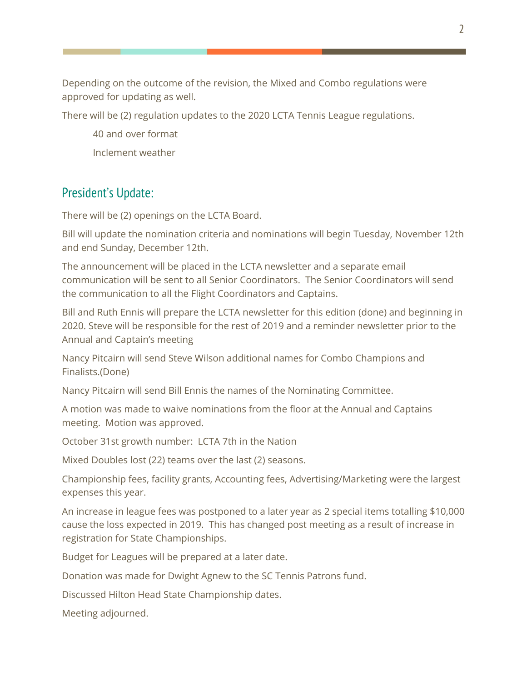Depending on the outcome of the revision, the Mixed and Combo regulations were approved for updating as well.

There will be (2) regulation updates to the 2020 LCTA Tennis League regulations.

40 and over format Inclement weather

#### President's Update:

There will be (2) openings on the LCTA Board.

Bill will update the nomination criteria and nominations will begin Tuesday, November 12th and end Sunday, December 12th.

The announcement will be placed in the LCTA newsletter and a separate email communication will be sent to all Senior Coordinators. The Senior Coordinators will send the communication to all the Flight Coordinators and Captains.

Bill and Ruth Ennis will prepare the LCTA newsletter for this edition (done) and beginning in 2020. Steve will be responsible for the rest of 2019 and a reminder newsletter prior to the Annual and Captain's meeting

Nancy Pitcairn will send Steve Wilson additional names for Combo Champions and Finalists.(Done)

Nancy Pitcairn will send Bill Ennis the names of the Nominating Committee.

A motion was made to waive nominations from the floor at the Annual and Captains meeting. Motion was approved.

October 31st growth number: LCTA 7th in the Nation

Mixed Doubles lost (22) teams over the last (2) seasons.

Championship fees, facility grants, Accounting fees, Advertising/Marketing were the largest expenses this year.

An increase in league fees was postponed to a later year as 2 special items totalling \$10,000 cause the loss expected in 2019. This has changed post meeting as a result of increase in registration for State Championships.

Budget for Leagues will be prepared at a later date.

Donation was made for Dwight Agnew to the SC Tennis Patrons fund.

Discussed Hilton Head State Championship dates.

Meeting adjourned.